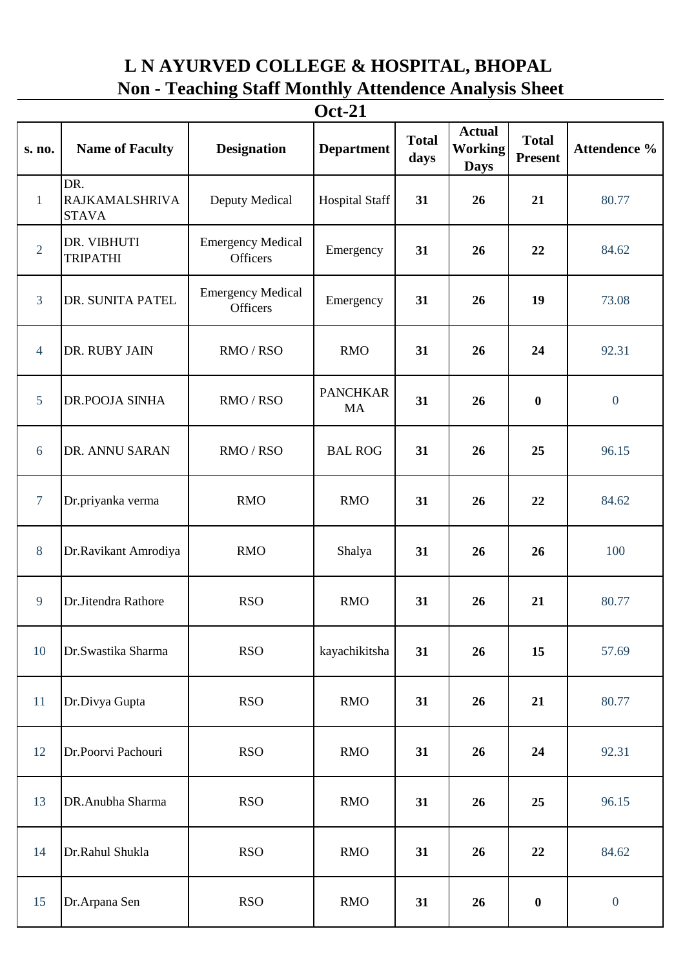## **L N AYURVED COLLEGE & HOSPITAL, BHOPAL Non - Teaching Staff Monthly Attendence Analysis Sheet**

| <b>Oct-21</b>  |                                              |                                             |                              |                      |                                                |                                |                  |  |  |  |  |  |
|----------------|----------------------------------------------|---------------------------------------------|------------------------------|----------------------|------------------------------------------------|--------------------------------|------------------|--|--|--|--|--|
| s. no.         | <b>Name of Faculty</b>                       | <b>Designation</b>                          | <b>Department</b>            | <b>Total</b><br>days | <b>Actual</b><br><b>Working</b><br><b>Days</b> | <b>Total</b><br><b>Present</b> | Attendence %     |  |  |  |  |  |
| $\mathbf{1}$   | DR.<br><b>RAJKAMALSHRIVA</b><br><b>STAVA</b> | Deputy Medical                              | <b>Hospital Staff</b>        | 31                   | 26                                             | 21                             | 80.77            |  |  |  |  |  |
| $\overline{2}$ | DR. VIBHUTI<br><b>TRIPATHI</b>               | <b>Emergency Medical</b><br><b>Officers</b> | Emergency                    | 31                   | 26                                             | 22                             | 84.62            |  |  |  |  |  |
| $\mathfrak{Z}$ | DR. SUNITA PATEL                             | <b>Emergency Medical</b><br>Officers        | Emergency                    | 31                   | 26                                             | 19                             | 73.08            |  |  |  |  |  |
| $\overline{4}$ | DR. RUBY JAIN                                | RMO / RSO                                   | <b>RMO</b>                   | 31                   | 26                                             | 24                             | 92.31            |  |  |  |  |  |
| 5              | <b>DR.POOJA SINHA</b>                        | RMO/RSO                                     | <b>PANCHKAR</b><br><b>MA</b> | 31                   | 26                                             | $\boldsymbol{0}$               | $\boldsymbol{0}$ |  |  |  |  |  |
| 6              | DR. ANNU SARAN                               | RMO/RSO                                     | <b>BAL ROG</b>               | 31                   | 26                                             | 25                             | 96.15            |  |  |  |  |  |
| $\overline{7}$ | Dr.priyanka verma                            | <b>RMO</b>                                  | <b>RMO</b>                   | 31                   | 26                                             | 22                             | 84.62            |  |  |  |  |  |
| 8              | Dr.Ravikant Amrodiya                         | <b>RMO</b>                                  | Shalya                       | 31                   | 26                                             | 26                             | 100              |  |  |  |  |  |
| 9              | Dr.Jitendra Rathore                          | <b>RSO</b>                                  | <b>RMO</b>                   | 31                   | 26                                             | 21                             | 80.77            |  |  |  |  |  |
| 10             | Dr.Swastika Sharma                           | <b>RSO</b>                                  | kayachikitsha                | 31                   | 26                                             | 15                             | 57.69            |  |  |  |  |  |
| 11             | Dr.Divya Gupta                               | <b>RSO</b>                                  | <b>RMO</b>                   | 31                   | 26                                             | 21                             | 80.77            |  |  |  |  |  |
| 12             | Dr.Poorvi Pachouri                           | <b>RSO</b>                                  | <b>RMO</b>                   | 31                   | 26                                             | 24                             | 92.31            |  |  |  |  |  |
| 13             | DR.Anubha Sharma                             | <b>RSO</b>                                  | <b>RMO</b>                   | 31                   | 26                                             | 25                             | 96.15            |  |  |  |  |  |
| 14             | Dr.Rahul Shukla                              | <b>RSO</b>                                  | <b>RMO</b>                   | 31                   | 26                                             | 22                             | 84.62            |  |  |  |  |  |
| 15             | Dr.Arpana Sen                                | <b>RSO</b>                                  | <b>RMO</b>                   | 31                   | 26                                             | $\boldsymbol{0}$               | $\boldsymbol{0}$ |  |  |  |  |  |